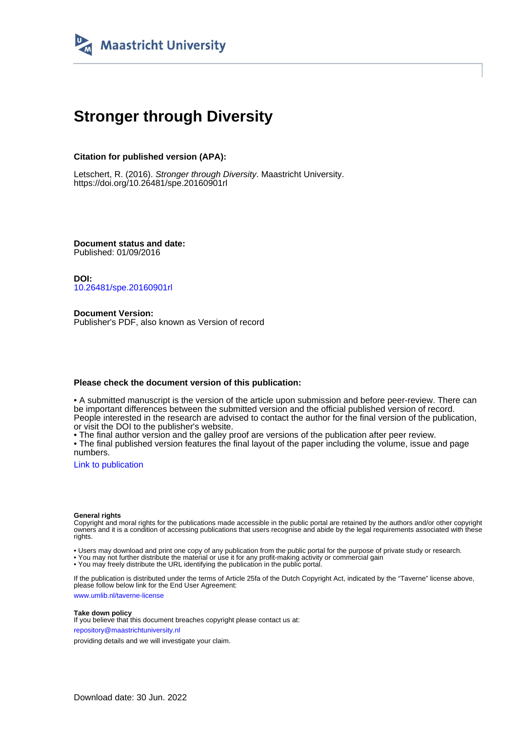

## **Stronger through Diversity**

#### **Citation for published version (APA):**

Letschert, R. (2016). Stronger through Diversity. Maastricht University. <https://doi.org/10.26481/spe.20160901rl>

**Document status and date:** Published: 01/09/2016

**DOI:** [10.26481/spe.20160901rl](https://doi.org/10.26481/spe.20160901rl)

**Document Version:** Publisher's PDF, also known as Version of record

#### **Please check the document version of this publication:**

• A submitted manuscript is the version of the article upon submission and before peer-review. There can be important differences between the submitted version and the official published version of record. People interested in the research are advised to contact the author for the final version of the publication, or visit the DOI to the publisher's website.

• The final author version and the galley proof are versions of the publication after peer review.

• The final published version features the final layout of the paper including the volume, issue and page numbers.

[Link to publication](https://cris.maastrichtuniversity.nl/en/publications/f8bd0d2a-cf52-40b7-8bb2-9adc25051e59)

#### **General rights**

Copyright and moral rights for the publications made accessible in the public portal are retained by the authors and/or other copyright owners and it is a condition of accessing publications that users recognise and abide by the legal requirements associated with these rights.

• Users may download and print one copy of any publication from the public portal for the purpose of private study or research.

• You may not further distribute the material or use it for any profit-making activity or commercial gain

• You may freely distribute the URL identifying the publication in the public portal.

If the publication is distributed under the terms of Article 25fa of the Dutch Copyright Act, indicated by the "Taverne" license above, please follow below link for the End User Agreement:

www.umlib.nl/taverne-license

#### **Take down policy**

If you believe that this document breaches copyright please contact us at: repository@maastrichtuniversity.nl

providing details and we will investigate your claim.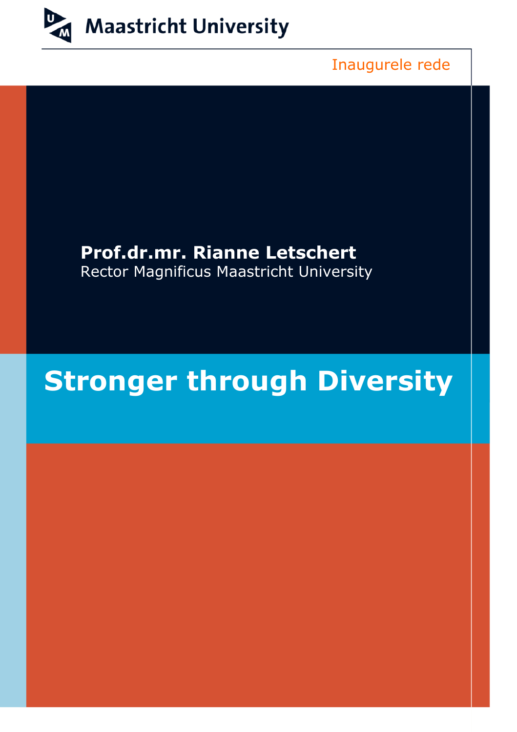

Inaugurele rede

## **Prof.dr.mr. Rianne Letschert** Rector Magnificus Maastricht University

# **Stronger through Diversity**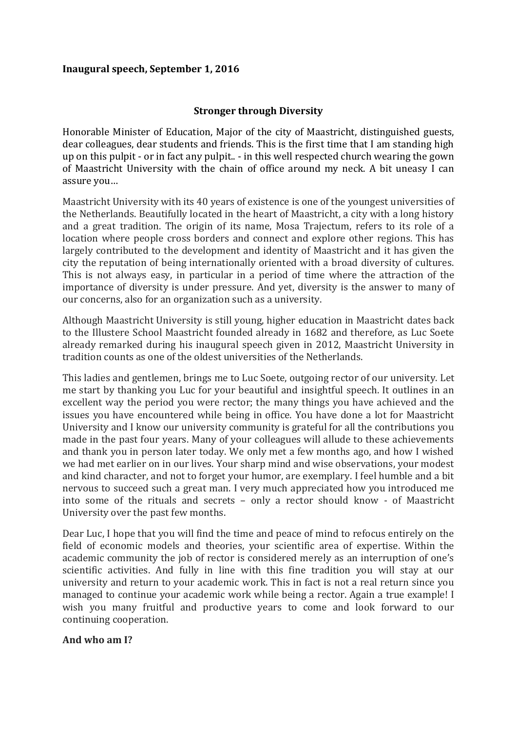### **Inaugural speech, September 1, 2016**

### **Stronger through Diversity**

Honorable Minister of Education, Major of the city of Maastricht, distinguished guests, dear colleagues, dear students and friends. This is the first time that I am standing high up on this pulpit - or in fact any pulpit.. - in this well respected church wearing the gown of Maastricht University with the chain of office around my neck. A bit uneasy I can assure you…

Maastricht University with its 40 years of existence is one of the youngest universities of the Netherlands. Beautifully located in the heart of Maastricht, a city with a long history and a great tradition. The origin of its name, Mosa Trajectum, refers to its role of a location where people cross borders and connect and explore other regions. This has largely contributed to the development and identity of Maastricht and it has given the city the reputation of being internationally oriented with a broad diversity of cultures. This is not always easy, in particular in a period of time where the attraction of the importance of diversity is under pressure. And yet, diversity is the answer to many of our concerns, also for an organization such as a university.

Although Maastricht University is still young, higher education in Maastricht dates back to the Illustere School Maastricht founded already in 1682 and therefore, as Luc Soete already remarked during his inaugural speech given in 2012, Maastricht University in tradition counts as one of the oldest universities of the Netherlands.

This ladies and gentlemen, brings me to Luc Soete, outgoing rector of our university. Let me start by thanking you Luc for your beautiful and insightful speech. It outlines in an excellent way the period you were rector; the many things you have achieved and the issues you have encountered while being in office. You have done a lot for Maastricht University and I know our university community is grateful for all the contributions you made in the past four years. Many of your colleagues will allude to these achievements and thank you in person later today. We only met a few months ago, and how I wished we had met earlier on in our lives. Your sharp mind and wise observations, your modest and kind character, and not to forget your humor, are exemplary. I feel humble and a bit nervous to succeed such a great man. I very much appreciated how you introduced me into some of the rituals and secrets – only a rector should know - of Maastricht University over the past few months.

Dear Luc, I hope that you will find the time and peace of mind to refocus entirely on the field of economic models and theories, your scientific area of expertise. Within the academic community the job of rector is considered merely as an interruption of one's scientific activities. And fully in line with this fine tradition you will stay at our university and return to your academic work. This in fact is not a real return since you managed to continue your academic work while being a rector. Again a true example! I wish you many fruitful and productive years to come and look forward to our continuing cooperation.

#### **And who am I?**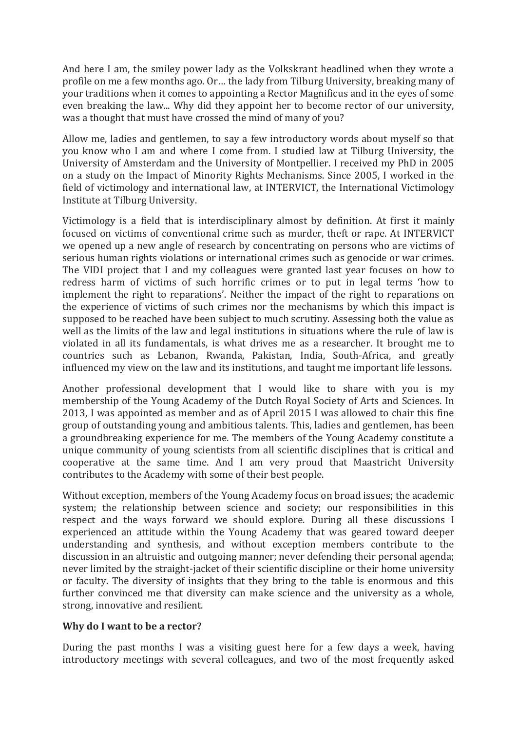And here I am, the smiley power lady as the Volkskrant headlined when they wrote a profile on me a few months ago. Or… the lady from Tilburg University, breaking many of your traditions when it comes to appointing a Rector Magnificus and in the eyes of some even breaking the law... Why did they appoint her to become rector of our university, was a thought that must have crossed the mind of many of you?

Allow me, ladies and gentlemen, to say a few introductory words about myself so that you know who I am and where I come from. I studied law at Tilburg University, the University of Amsterdam and the University of Montpellier. I received my PhD in 2005 on a study on the Impact of Minority Rights Mechanisms. Since 2005, I worked in the field of victimology and international law, at INTERVICT, the International Victimology Institute at Tilburg University.

Victimology is a field that is interdisciplinary almost by definition. At first it mainly focused on victims of conventional crime such as murder, theft or rape. At INTERVICT we opened up a new angle of research by concentrating on persons who are victims of serious human rights violations or international crimes such as genocide or war crimes. The VIDI project that I and my colleagues were granted last year focuses on how to redress harm of victims of such horrific crimes or to put in legal terms 'how to implement the right to reparations'. Neither the impact of the right to reparations on the experience of victims of such crimes nor the mechanisms by which this impact is supposed to be reached have been subject to much scrutiny. Assessing both the value as well as the limits of the law and legal institutions in situations where the rule of law is violated in all its fundamentals, is what drives me as a researcher. It brought me to countries such as Lebanon, Rwanda, Pakistan, India, South-Africa, and greatly influenced my view on the law and its institutions, and taught me important life lessons.

Another professional development that I would like to share with you is my membership of the Young Academy of the Dutch Royal Society of Arts and Sciences. In 2013, I was appointed as member and as of April 2015 I was allowed to chair this fine group of outstanding young and ambitious talents. This, ladies and gentlemen, has been a groundbreaking experience for me. The members of the Young Academy constitute a unique community of young scientists from all scientific disciplines that is critical and cooperative at the same time. And I am very proud that Maastricht University contributes to the Academy with some of their best people.

Without exception, members of the Young Academy focus on broad issues; the academic system; the relationship between science and society; our responsibilities in this respect and the ways forward we should explore. During all these discussions I experienced an attitude within the Young Academy that was geared toward deeper understanding and synthesis, and without exception members contribute to the discussion in an altruistic and outgoing manner; never defending their personal agenda; never limited by the straight-jacket of their scientific discipline or their home university or faculty. The diversity of insights that they bring to the table is enormous and this further convinced me that diversity can make science and the university as a whole, strong, innovative and resilient.

### **Why do I want to be a rector?**

During the past months I was a visiting guest here for a few days a week, having introductory meetings with several colleagues, and two of the most frequently asked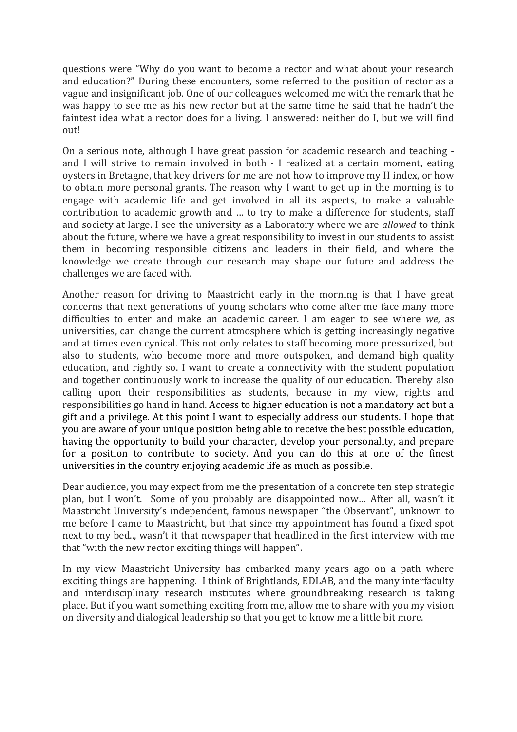questions were "Why do you want to become a rector and what about your research and education?" During these encounters, some referred to the position of rector as a vague and insignificant job. One of our colleagues welcomed me with the remark that he was happy to see me as his new rector but at the same time he said that he hadn't the faintest idea what a rector does for a living. I answered: neither do I, but we will find out!

On a serious note, although I have great passion for academic research and teaching and I will strive to remain involved in both - I realized at a certain moment, eating oysters in Bretagne, that key drivers for me are not how to improve my H index, or how to obtain more personal grants. The reason why I want to get up in the morning is to engage with academic life and get involved in all its aspects, to make a valuable contribution to academic growth and … to try to make a difference for students, staff and society at large. I see the university as a Laboratory where we are *allowed* to think about the future, where we have a great responsibility to invest in our students to assist them in becoming responsible citizens and leaders in their field, and where the knowledge we create through our research may shape our future and address the challenges we are faced with.

Another reason for driving to Maastricht early in the morning is that I have great concerns that next generations of young scholars who come after me face many more difficulties to enter and make an academic career. I am eager to see where *we,* as universities, can change the current atmosphere which is getting increasingly negative and at times even cynical. This not only relates to staff becoming more pressurized, but also to students, who become more and more outspoken, and demand high quality education, and rightly so. I want to create a connectivity with the student population and together continuously work to increase the quality of our education. Thereby also calling upon their responsibilities as students, because in my view, rights and responsibilities go hand in hand. Access to higher education is not a mandatory act but a gift and a privilege. At this point I want to especially address our students. I hope that you are aware of your unique position being able to receive the best possible education, having the opportunity to build your character, develop your personality, and prepare for a position to contribute to society. And you can do this at one of the finest universities in the country enjoying academic life as much as possible.

Dear audience, you may expect from me the presentation of a concrete ten step strategic plan, but I won't. Some of you probably are disappointed now… After all, wasn't it Maastricht University's independent, famous newspaper "the Observant", unknown to me before I came to Maastricht, but that since my appointment has found a fixed spot next to my bed.., wasn't it that newspaper that headlined in the first interview with me that "with the new rector exciting things will happen".

In my view Maastricht University has embarked many years ago on a path where exciting things are happening. I think of Brightlands, EDLAB, and the many interfaculty and interdisciplinary research institutes where groundbreaking research is taking place. But if you want something exciting from me, allow me to share with you my vision on diversity and dialogical leadership so that you get to know me a little bit more.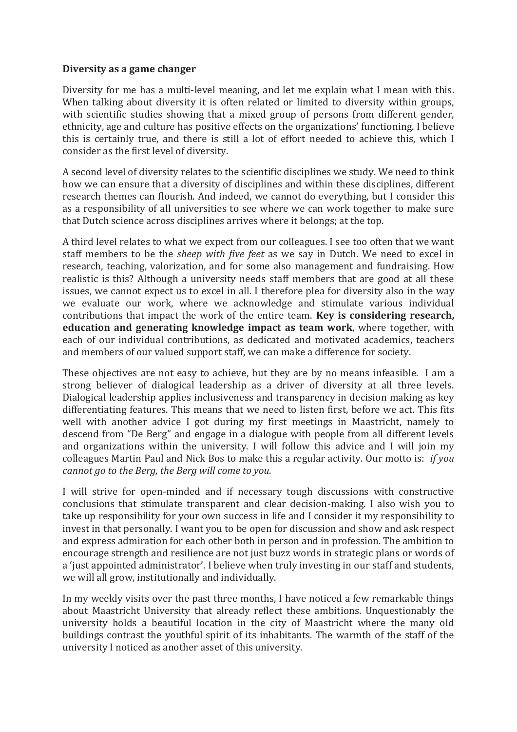#### **Diversity as a game changer**

Diversity for me has a multi-level meaning, and let me explain what I mean with this. When talking about diversity it is often related or limited to diversity within groups, with scientific studies showing that a mixed group of persons from different gender, ethnicity, age and culture has positive effects on the organizations' functioning. I believe this is certainly true, and there is still a lot of effort needed to achieve this, which I consider as the first level of diversity.

A second level of diversity relates to the scientific disciplines we study. We need to think how we can ensure that a diversity of disciplines and within these disciplines, different research themes can flourish. And indeed, we cannot do everything, but I consider this as a responsibility of all universities to see where we can work together to make sure that Dutch science across disciplines arrives where it belongs; at the top.

A third level relates to what we expect from our colleagues. I see too often that we want staff members to be the *sheep with five feet* as we say in Dutch. We need to excel in research, teaching, valorization, and for some also management and fundraising. How realistic is this? Although a university needs staff members that are good at all these issues, we cannot expect us to excel in all. I therefore plea for diversity also in the way we evaluate our work, where we acknowledge and stimulate various individual contributions that impact the work of the entire team. **Key is considering research, education and generating knowledge impact as team work**, where together, with each of our individual contributions, as dedicated and motivated academics, teachers and members of our valued support staff, we can make a difference for society.

These objectives are not easy to achieve, but they are by no means infeasible. I am a strong believer of dialogical leadership as a driver of diversity at all three levels. Dialogical leadership applies inclusiveness and transparency in decision making as key differentiating features. This means that we need to listen first, before we act. This fits well with another advice I got during my first meetings in Maastricht, namely to descend from "De Berg" and engage in a dialogue with people from all different levels and organizations within the university. I will follow this advice and I will join my colleagues Martin Paul and Nick Bos to make this a regular activity. Our motto is: *if you cannot go to the Berg, the Berg will come to you.*

I will strive for open-minded and if necessary tough discussions with constructive conclusions that stimulate transparent and clear decision-making. I also wish you to take up responsibility for your own success in life and I consider it my responsibility to invest in that personally. I want you to be open for discussion and show and ask respect and express admiration for each other both in person and in profession. The ambition to encourage strength and resilience are not just buzz words in strategic plans or words of a 'just appointed administrator'. I believe when truly investing in our staff and students, we will all grow, institutionally and individually.

In my weekly visits over the past three months, I have noticed a few remarkable things about Maastricht University that already reflect these ambitions. Unquestionably the university holds a beautiful location in the city of Maastricht where the many old buildings contrast the youthful spirit of its inhabitants. The warmth of the staff of the university I noticed as another asset of this university.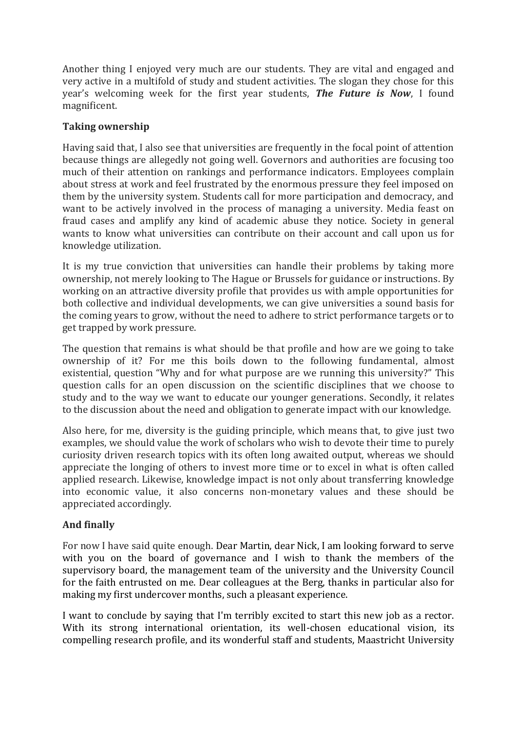Another thing I enjoyed very much are our students. They are vital and engaged and very active in a multifold of study and student activities. The slogan they chose for this year's welcoming week for the first year students, *The Future is Now*, I found magnificent.

## **Taking ownership**

Having said that, I also see that universities are frequently in the focal point of attention because things are allegedly not going well. Governors and authorities are focusing too much of their attention on rankings and performance indicators. Employees complain about stress at work and feel frustrated by the enormous pressure they feel imposed on them by the university system. Students call for more participation and democracy, and want to be actively involved in the process of managing a university. Media feast on fraud cases and amplify any kind of academic abuse they notice. Society in general wants to know what universities can contribute on their account and call upon us for knowledge utilization.

It is my true conviction that universities can handle their problems by taking more ownership, not merely looking to The Hague or Brussels for guidance or instructions. By working on an attractive diversity profile that provides us with ample opportunities for both collective and individual developments, we can give universities a sound basis for the coming years to grow, without the need to adhere to strict performance targets or to get trapped by work pressure.

The question that remains is what should be that profile and how are we going to take ownership of it? For me this boils down to the following fundamental, almost existential, question "Why and for what purpose are we running this university?" This question calls for an open discussion on the scientific disciplines that we choose to study and to the way we want to educate our younger generations. Secondly, it relates to the discussion about the need and obligation to generate impact with our knowledge.

Also here, for me, diversity is the guiding principle, which means that, to give just two examples, we should value the work of scholars who wish to devote their time to purely curiosity driven research topics with its often long awaited output, whereas we should appreciate the longing of others to invest more time or to excel in what is often called applied research. Likewise, knowledge impact is not only about transferring knowledge into economic value, it also concerns non-monetary values and these should be appreciated accordingly.

## **And finally**

For now I have said quite enough. Dear Martin, dear Nick, I am looking forward to serve with you on the board of governance and I wish to thank the members of the supervisory board, the management team of the university and the University Council for the faith entrusted on me. Dear colleagues at the Berg, thanks in particular also for making my first undercover months, such a pleasant experience.

I want to conclude by saying that I'm terribly excited to start this new job as a rector. With its strong international orientation, its well-chosen educational vision, its compelling research profile, and its wonderful staff and students, Maastricht University